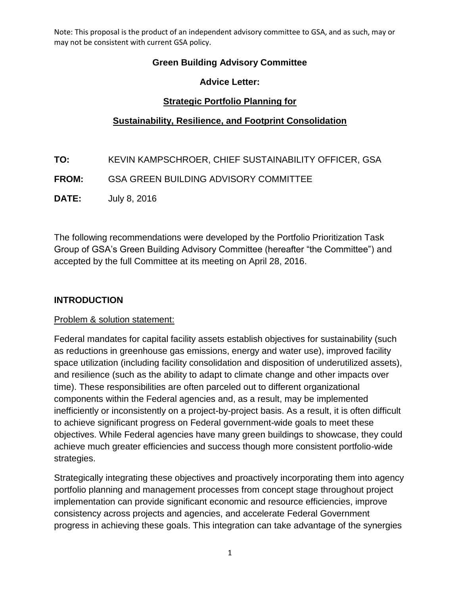### **Green Building Advisory Committee**

#### **Advice Letter:**

### **Strategic Portfolio Planning for**

#### **Sustainability, Resilience, and Footprint Consolidation**

- **TO:** KEVIN KAMPSCHROER, CHIEF SUSTAINABILITY OFFICER, GSA
- **FROM:** GSA GREEN BUILDING ADVISORY COMMITTEE
- **DATE:** July 8, 2016

 Group of GSA's Green Building Advisory Committee (hereafter "the Committee") and accepted by the full Committee at its meeting on April 28, 2016. The following recommendations were developed by the Portfolio Prioritization Task

#### **INTRODUCTION**

#### Problem & solution statement:

 Federal mandates for capital facility assets establish objectives for sustainability (such as reductions in greenhouse gas emissions, energy and water use), improved facility components within the Federal agencies and, as a result, may be implemented to achieve significant progress on Federal government-wide goals to meet these space utilization (including facility consolidation and disposition of underutilized assets), and resilience (such as the ability to adapt to climate change and other impacts over time). These responsibilities are often parceled out to different organizational inefficiently or inconsistently on a project-by-project basis. As a result, it is often difficult objectives. While Federal agencies have many green buildings to showcase, they could achieve much greater efficiencies and success though more consistent portfolio-wide strategies.

 Strategically integrating these objectives and proactively incorporating them into agency implementation can provide significant economic and resource efficiencies, improve consistency across projects and agencies, and accelerate Federal Government portfolio planning and management processes from concept stage throughout project progress in achieving these goals. This integration can take advantage of the synergies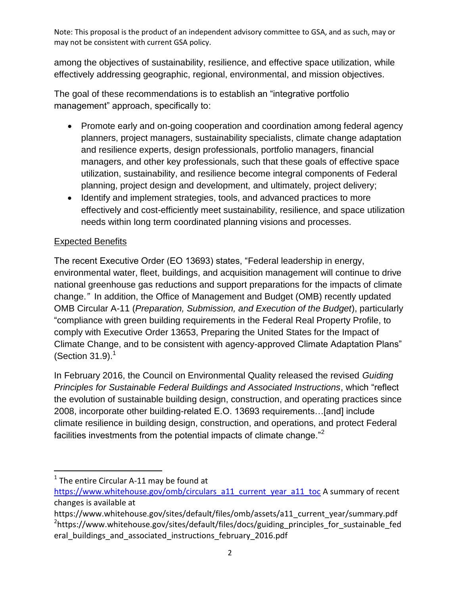effectively addressing geographic, regional, environmental, and mission objectives. among the objectives of sustainability, resilience, and effective space utilization, while

 The goal of these recommendations is to establish an "integrative portfolio management" approach, specifically to:

- Promote early and on-going cooperation and coordination among federal agency and resilience experts, design professionals, portfolio managers, financial planning, project design and development, and ultimately, project delivery; planners, project managers, sustainability specialists, climate change adaptation managers, and other key professionals, such that these goals of effective space utilization, sustainability, and resilience become integral components of Federal
- Identify and implement strategies, tools, and advanced practices to more needs within long term coordinated planning visions and processes. effectively and cost-efficiently meet sustainability, resilience, and space utilization

## **Expected Benefits**

 environmental water, fleet, buildings, and acquisition management will continue to drive (Section  $31.9$ ).<sup>1</sup> The recent Executive Order (EO 13693) states, "Federal leadership in energy, national greenhouse gas reductions and support preparations for the impacts of climate change.*"* In addition, the Office of Management and Budget (OMB) recently updated OMB Circular A-11 (*Preparation, Submission, and Execution of the Budget*), particularly "compliance with green building requirements in the Federal Real Property Profile, to comply with Executive Order 13653, Preparing the United States for the Impact of Climate Change, and to be consistent with agency-approved Climate Adaptation Plans"

facilities investments from the potential impacts of climate change. $^{"2}$ In February 2016, the Council on Environmental Quality released the revised *Guiding Principles for Sustainable Federal Buildings and Associated Instructions*, which "reflect the evolution of sustainable building design, construction, and operating practices since 2008, incorporate other building-related E.O. 13693 requirements…[and] include climate resilience in building design, construction, and operations, and protect Federal

 $\overline{a}$ 

 $1$  The entire Circular A-11 may be found at

[https://www.whitehouse.gov/omb/circulars\\_a11\\_current\\_year\\_a11\\_toc](https://www.whitehouse.gov/omb/circulars_a11_current_year_a11_toc) A summary of recent changes is available at

https://www.whitehouse.gov/sites/default/files/omb/assets/a11\_current\_year/summary.pdf <sup>2</sup>https://www.whitehouse.gov/sites/default/files/docs/guiding\_principles\_for\_sustainable\_fed eral buildings and associated instructions february 2016.pdf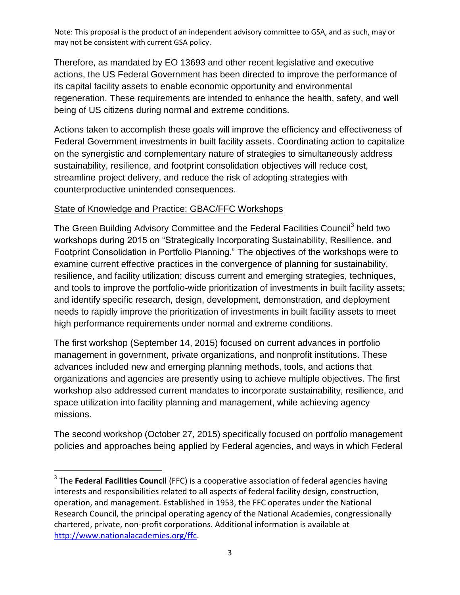its capital facility assets to enable economic opportunity and environmental regeneration. These requirements are intended to enhance the health, safety, and well Therefore, as mandated by EO 13693 and other recent legislative and executive actions, the US Federal Government has been directed to improve the performance of being of US citizens during normal and extreme conditions.

 Federal Government investments in built facility assets. Coordinating action to capitalize on the synergistic and complementary nature of strategies to simultaneously address Actions taken to accomplish these goals will improve the efficiency and effectiveness of sustainability, resilience, and footprint consolidation objectives will reduce cost, streamline project delivery, and reduce the risk of adopting strategies with counterproductive unintended consequences.

## State of Knowledge and Practice: GBAC/FFC Workshops

 $\overline{a}$ 

The Green Building Advisory Committee and the Federal Facilities Council<sup>3</sup> held two Footprint Consolidation in Portfolio Planning." The objectives of the workshops were to and identify specific research, design, development, demonstration, and deployment high performance requirements under normal and extreme conditions. workshops during 2015 on "Strategically Incorporating Sustainability, Resilience, and examine current effective practices in the convergence of planning for sustainability, resilience, and facility utilization; discuss current and emerging strategies, techniques, and tools to improve the portfolio-wide prioritization of investments in built facility assets; needs to rapidly improve the prioritization of investments in built facility assets to meet

high performance requirements under normal and extreme conditions.<br>The first workshop (September 14, 2015) focused on current advances in portfolio advances included new and emerging planning methods, tools, and actions that space utilization into facility planning and management, while achieving agency management in government, private organizations, and nonprofit institutions. These organizations and agencies are presently using to achieve multiple objectives. The first workshop also addressed current mandates to incorporate sustainability, resilience, and missions.

 The second workshop (October 27, 2015) specifically focused on portfolio management policies and approaches being applied by Federal agencies, and ways in which Federal

 3 The **Federal Facilities Council** (FFC) is a cooperative association of federal agencies having interests and responsibilities related to all aspects of federal facility design, construction, operation, and management. Established in 1953, the FFC operates under the National Research Council, the principal operating agency of the National Academies, congressionally [http://www.nationalacademies.org/ffc.](http://www.nationalacademies.org/ffc)<br>3 chartered, private, non-profit corporations. Additional information is available at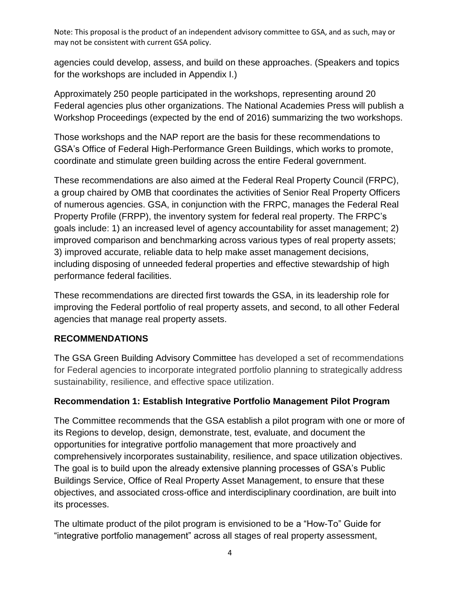agencies could develop, assess, and build on these approaches. (Speakers and topics for the workshops are included in Appendix I.)

for the workshops are included in Appendix I.)<br>Approximately 250 people participated in the workshops, representing around 20 Workshop Proceedings (expected by the end of 2016) summarizing the two workshops. Federal agencies plus other organizations. The National Academies Press will publish a

 coordinate and stimulate green building across the entire Federal government. Those workshops and the NAP report are the basis for these recommendations to GSA's Office of Federal High-Performance Green Buildings, which works to promote,

 improved comparison and benchmarking across various types of real property assets; 3) improved accurate, reliable data to help make asset management decisions, including disposing of unneeded federal properties and effective stewardship of high These recommendations are also aimed at the Federal Real Property Council (FRPC), a group chaired by OMB that coordinates the activities of Senior Real Property Officers of numerous agencies. GSA, in conjunction with the FRPC, manages the Federal Real Property Profile (FRPP), the inventory system for federal real property. The FRPC's goals include: 1) an increased level of agency accountability for asset management; 2) performance federal facilities.

These recommendations are directed first towards the GSA, in its leadership role for improving the Federal portfolio of real property assets, and second, to all other Federal agencies that manage real property assets.

## **RECOMMENDATIONS**

 The GSA Green Building Advisory Committee has developed a set of recommendations for Federal agencies to incorporate integrated portfolio planning to strategically address sustainability, resilience, and effective space utilization.

## **Recommendation 1: Establish Integrative Portfolio Management Pilot Program**

 The Committee recommends that the GSA establish a pilot program with one or more of its Regions to develop, design, demonstrate, test, evaluate, and document the Buildings Service, Office of Real Property Asset Management, to ensure that these its processes. opportunities for integrative portfolio management that more proactively and comprehensively incorporates sustainability, resilience, and space utilization objectives. The goal is to build upon the already extensive planning processes of GSA's Public objectives, and associated cross-office and interdisciplinary coordination, are built into

 The ultimate product of the pilot program is envisioned to be a "How-To" Guide for "integrative portfolio management" across all stages of real property assessment,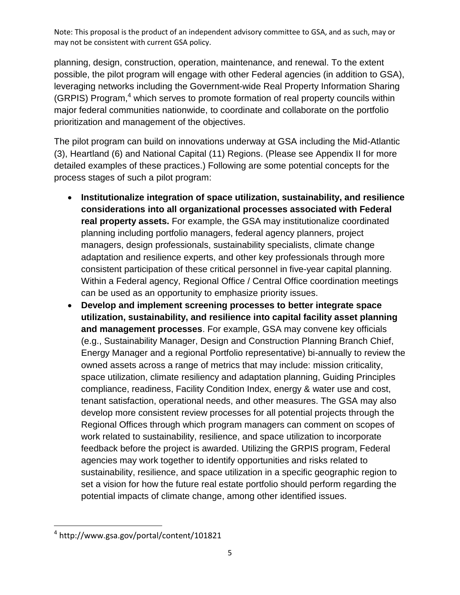possible, the pilot program will engage with other Federal agencies (in addition to GSA), leveraging networks including the Government-wide Real Property Information Sharing (GRPIS) Program, $4$  which serves to promote formation of real property councils within major federal communities nationwide, to coordinate and collaborate on the portfolio prioritization and management of the objectives. planning, design, construction, operation, maintenance, and renewal. To the extent

 The pilot program can build on innovations underway at GSA including the Mid-Atlantic (3), Heartland (6) and National Capital (11) Regions. (Please see Appendix II for more detailed examples of these practices.) Following are some potential concepts for the process stages of such a pilot program:

- planning including portfolio managers, federal agency planners, project adaptation and resilience experts, and other key professionals through more Within a Federal agency, Regional Office / Central Office coordination meetings can be used as an opportunity to emphasize priority issues. **Institutionalize integration of space utilization, sustainability, and resilience considerations into all organizational processes associated with Federal real property assets.** For example, the GSA may institutionalize coordinated managers, design professionals, sustainability specialists, climate change consistent participation of these critical personnel in five-year capital planning.
- **and management processes**. For example, GSA may convene key officials space utilization, climate resiliency and adaptation planning, Guiding Principles compliance, readiness, Facility Condition Index, energy & water use and cost, tenant satisfaction, operational needs, and other measures. The GSA may also develop more consistent review processes for all potential projects through the work related to sustainability, resilience, and space utilization to incorporate feedback before the project is awarded. Utilizing the GRPIS program, Federal sustainability, resilience, and space utilization in a specific geographic region to set a vision for how the future real estate portfolio should perform regarding the potential impacts of climate change, among other identified issues. **Develop and implement screening processes to better integrate space utilization, sustainability, and resilience into capital facility asset planning**  (e.g., Sustainability Manager, Design and Construction Planning Branch Chief, Energy Manager and a regional Portfolio representative) bi-annually to review the owned assets across a range of metrics that may include: mission criticality, Regional Offices through which program managers can comment on scopes of agencies may work together to identify opportunities and risks related to

 $\overline{a}$ 

<sup>4</sup> http://www.gsa.gov/portal/content/101821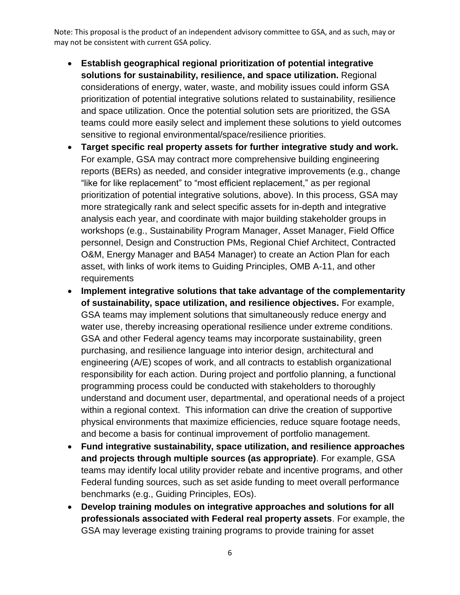- considerations of energy, water, waste, and mobility issues could inform GSA prioritization of potential integrative solutions related to sustainability, resilience and space utilization. Once the potential solution sets are prioritized, the GSA **Establish geographical regional prioritization of potential integrative solutions for sustainability, resilience, and space utilization.** Regional teams could more easily select and implement these solutions to yield outcomes sensitive to regional environmental/space/resilience priorities.
- reports (BERs) as needed, and consider integrative improvements (e.g., change prioritization of potential integrative solutions, above). In this process, GSA may personnel, Design and Construction PMs, Regional Chief Architect, Contracted O&M, Energy Manager and BA54 Manager) to create an Action Plan for each **Target specific real property assets for further integrative study and work.**  For example, GSA may contract more comprehensive building engineering "like for like replacement" to "most efficient replacement," as per regional more strategically rank and select specific assets for in-depth and integrative analysis each year, and coordinate with major building stakeholder groups in workshops (e.g., Sustainability Program Manager, Asset Manager, Field Office asset, with links of work items to Guiding Principles, OMB A-11, and other requirements
- GSA teams may implement solutions that simultaneously reduce energy and engineering (A/E) scopes of work, and all contracts to establish organizational responsibility for each action. During project and portfolio planning, a functional within a regional context. This information can drive the creation of supportive and become a basis for continual improvement of portfolio management. **Implement integrative solutions that take advantage of the complementarity of sustainability, space utilization, and resilience objectives.** For example, water use, thereby increasing operational resilience under extreme conditions. GSA and other Federal agency teams may incorporate sustainability, green purchasing, and resilience language into interior design, architectural and programming process could be conducted with stakeholders to thoroughly understand and document user, departmental, and operational needs of a project physical environments that maximize efficiencies, reduce square footage needs,
- Federal funding sources, such as set aside funding to meet overall performance **Fund integrative sustainability, space utilization, and resilience approaches and projects through multiple sources (as appropriate)**. For example, GSA teams may identify local utility provider rebate and incentive programs, and other benchmarks (e.g., Guiding Principles, EOs).
- **professionals associated with Federal real property assets**. For example, the **Develop training modules on integrative approaches and solutions for all**  GSA may leverage existing training programs to provide training for asset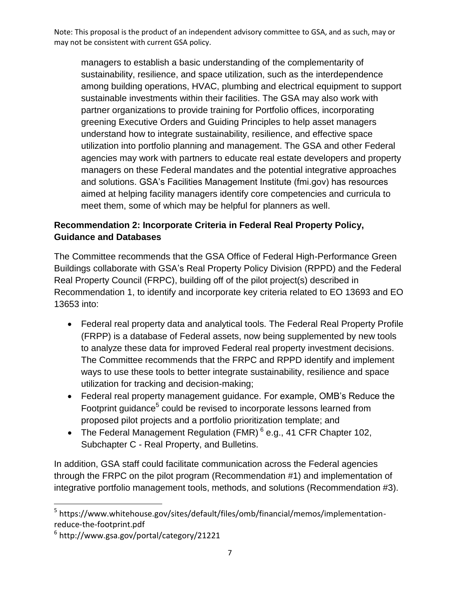managers to establish a basic understanding of the complementarity of among building operations, HVAC, plumbing and electrical equipment to support sustainable investments within their facilities. The GSA may also work with utilization into portfolio planning and management. The GSA and other Federal agencies may work with partners to educate real estate developers and property sustainability, resilience, and space utilization, such as the interdependence partner organizations to provide training for Portfolio offices, incorporating greening Executive Orders and Guiding Principles to help asset managers understand how to integrate sustainability, resilience, and effective space managers on these Federal mandates and the potential integrative approaches and solutions. GSA's Facilities Management Institute (fmi.gov) has resources aimed at helping facility managers identify core competencies and curricula to meet them, some of which may be helpful for planners as well.

## **Recommendation 2: Incorporate Criteria in Federal Real Property Policy, Guidance and Databases**

 The Committee recommends that the GSA Office of Federal High-Performance Green Buildings collaborate with GSA's Real Property Policy Division (RPPD) and the Federal Recommendation 1, to identify and incorporate key criteria related to EO 13693 and EO 13653 into: Real Property Council (FRPC), building off of the pilot project(s) described in

- to analyze these data for improved Federal real property investment decisions. Federal real property data and analytical tools. The Federal Real Property Profile (FRPP) is a database of Federal assets, now being supplemented by new tools The Committee recommends that the FRPC and RPPD identify and implement ways to use these tools to better integrate sustainability, resilience and space utilization for tracking and decision-making;
- Footprint guidance<sup>5</sup> could be revised to incorporate lessons learned from proposed pilot projects and a portfolio prioritization template; and Federal real property management guidance. For example, OMB's Reduce the
- The Federal Management Regulation (FMR)  $6$  e.g., 41 CFR Chapter 102, Subchapter C - Real Property, and Bulletins.

 In addition, GSA staff could facilitate communication across the Federal agencies through the FRPC on the pilot program (Recommendation #1) and implementation of integrative portfolio management tools, methods, and solutions (Recommendation #3).

 $\overline{a}$ 

<sup>&</sup>lt;sup>5</sup> https://www.whitehouse.gov/sites/default/files/omb/financial/memos/implementationreduce-the-footprint.pdf

 $6$  http://www.gsa.gov/portal/category/21221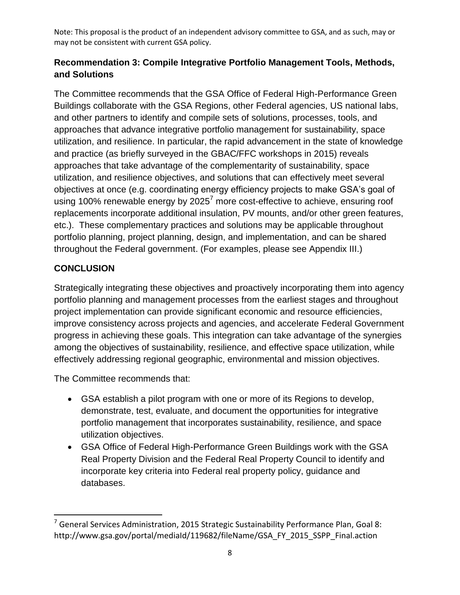## **Recommendation 3: Compile Integrative Portfolio Management Tools, Methods, and Solutions**

 The Committee recommends that the GSA Office of Federal High-Performance Green and other partners to identify and compile sets of solutions, processes, tools, and approaches that take advantage of the complementarity of sustainability, space using 100% renewable energy by 2025<sup>7</sup> more cost-effective to achieve, ensuring roof replacements incorporate additional insulation, PV mounts, and/or other green features, etc.). These complementary practices and solutions may be applicable throughout throughout the Federal government. (For examples, please see Appendix III.) Buildings collaborate with the GSA Regions, other Federal agencies, US national labs, approaches that advance integrative portfolio management for sustainability, space utilization, and resilience. In particular, the rapid advancement in the state of knowledge and practice (as briefly surveyed in the GBAC/FFC workshops in 2015) reveals utilization, and resilience objectives, and solutions that can effectively meet several objectives at once (e.g. coordinating energy efficiency projects to make GSA's goal of portfolio planning, project planning, design, and implementation, and can be shared

## **CONCLUSION**

 $\overline{a}$ 

 Strategically integrating these objectives and proactively incorporating them into agency improve consistency across projects and agencies, and accelerate Federal Government portfolio planning and management processes from the earliest stages and throughout project implementation can provide significant economic and resource efficiencies, progress in achieving these goals. This integration can take advantage of the synergies among the objectives of sustainability, resilience, and effective space utilization, while effectively addressing regional geographic, environmental and mission objectives.

The Committee recommends that:

- GSA establish a pilot program with one or more of its Regions to develop, demonstrate, test, evaluate, and document the opportunities for integrative portfolio management that incorporates sustainability, resilience, and space utilization objectives.
- GSA Office of Federal High-Performance Green Buildings work with the GSA Real Property Division and the Federal Real Property Council to identify and incorporate key criteria into Federal real property policy, guidance and databases.

 $^7$  General Services Administration, 2015 Strategic Sustainability Performance Plan, Goal 8: http://www.gsa.gov/portal/mediaId/119682/fileName/GSA\_FY\_2015\_SSPP\_Final.action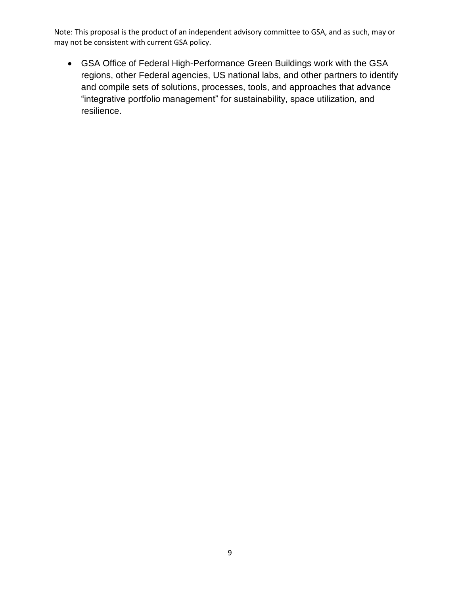GSA Office of Federal High-Performance Green Buildings work with the GSA regions, other Federal agencies, US national labs, and other partners to identify and compile sets of solutions, processes, tools, and approaches that advance "integrative portfolio management" for sustainability, space utilization, and resilience.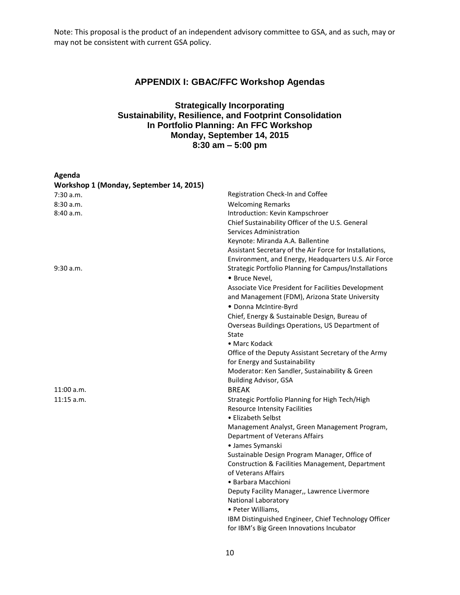#### **APPENDIX I: GBAC/FFC Workshop Agendas**

#### **Strategically Incorporating Sustainability, Resilience, and Footprint Consolidation In Portfolio Planning: An FFC Workshop Monday, September 14, 2015 8:30 am – 5:00 pm**

| Agenda                                  |                                                                           |
|-----------------------------------------|---------------------------------------------------------------------------|
| Workshop 1 (Monday, September 14, 2015) |                                                                           |
| $7:30$ a.m.                             | Registration Check-In and Coffee                                          |
| 8:30a.m.                                | <b>Welcoming Remarks</b>                                                  |
| 8:40 a.m.                               | Introduction: Kevin Kampschroer                                           |
|                                         | Chief Sustainability Officer of the U.S. General                          |
|                                         | Services Administration                                                   |
|                                         | Keynote: Miranda A.A. Ballentine                                          |
|                                         | Assistant Secretary of the Air Force for Installations,                   |
|                                         | Environment, and Energy, Headquarters U.S. Air Force                      |
| 9:30 a.m.                               | Strategic Portfolio Planning for Campus/Installations                     |
|                                         | · Bruce Nevel,                                                            |
|                                         | Associate Vice President for Facilities Development                       |
|                                         | and Management (FDM), Arizona State University                            |
|                                         | · Donna McIntire-Byrd                                                     |
|                                         | Chief, Energy & Sustainable Design, Bureau of                             |
|                                         | Overseas Buildings Operations, US Department of                           |
|                                         | State                                                                     |
|                                         | • Marc Kodack                                                             |
|                                         | Office of the Deputy Assistant Secretary of the Army                      |
|                                         | for Energy and Sustainability                                             |
|                                         | Moderator: Ken Sandler, Sustainability & Green                            |
|                                         | <b>Building Advisor, GSA</b>                                              |
| 11:00 a.m.                              | <b>BREAK</b>                                                              |
| $11:15$ a.m.                            | Strategic Portfolio Planning for High Tech/High                           |
|                                         | <b>Resource Intensity Facilities</b>                                      |
|                                         | • Elizabeth Selbst                                                        |
|                                         | Management Analyst, Green Management Program,                             |
|                                         | Department of Veterans Affairs                                            |
|                                         | • James Symanski                                                          |
|                                         | Sustainable Design Program Manager, Office of                             |
|                                         | Construction & Facilities Management, Department                          |
|                                         | of Veterans Affairs                                                       |
|                                         | • Barbara Macchioni                                                       |
|                                         | Deputy Facility Manager,, Lawrence Livermore                              |
|                                         | <b>National Laboratory</b>                                                |
|                                         |                                                                           |
|                                         | • Peter Williams,<br>IBM Distinguished Engineer, Chief Technology Officer |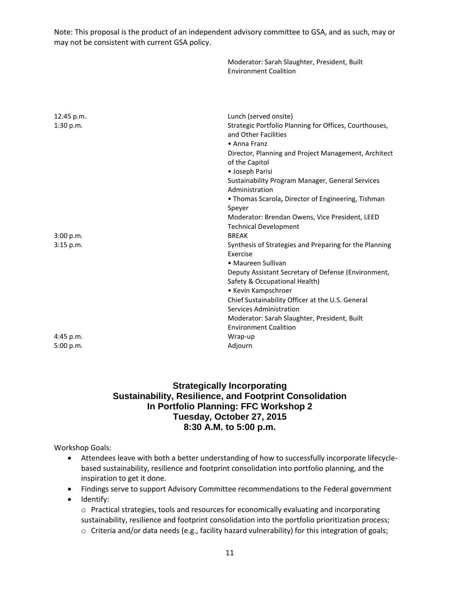|                         | Moderator: Sarah Slaughter, President, Built<br><b>Environment Coalition</b>                                                                                                                                                                                                                                                                                                           |
|-------------------------|----------------------------------------------------------------------------------------------------------------------------------------------------------------------------------------------------------------------------------------------------------------------------------------------------------------------------------------------------------------------------------------|
|                         |                                                                                                                                                                                                                                                                                                                                                                                        |
| 12:45 p.m.<br>1:30 p.m. | Lunch (served onsite)<br>Strategic Portfolio Planning for Offices, Courthouses,<br>and Other Facilities<br>• Anna Franz<br>Director, Planning and Project Management, Architect<br>of the Capitol<br>· Joseph Parisi                                                                                                                                                                   |
|                         | Sustainability Program Manager, General Services<br>Administration<br>. Thomas Scarola, Director of Engineering, Tishman<br>Speyer<br>Moderator: Brendan Owens, Vice President, LEED<br><b>Technical Development</b>                                                                                                                                                                   |
| 3:00 p.m.<br>3:15 p.m.  | <b>BREAK</b><br>Synthesis of Strategies and Preparing for the Planning<br>Exercise<br>• Maureen Sullivan<br>Deputy Assistant Secretary of Defense (Environment,<br>Safety & Occupational Health)<br>• Kevin Kampschroer<br>Chief Sustainability Officer at the U.S. General<br>Services Administration<br>Moderator: Sarah Slaughter, President, Built<br><b>Environment Coalition</b> |
| 4:45 p.m.<br>5:00 p.m.  | Wrap-up<br>Adjourn                                                                                                                                                                                                                                                                                                                                                                     |

#### **Strategically Incorporating Sustainability, Resilience, and Footprint Consolidation In Portfolio Planning: FFC Workshop 2 Tuesday, October 27, 2015 8:30 A.M. to 5:00 p.m.**

Workshop Goals:

- Attendees leave with both a better understanding of how to successfully incorporate lifecyclebased sustainability, resilience and footprint consolidation into portfolio planning, and the inspiration to get it done.
- Findings serve to support Advisory Committee recommendations to the Federal government
- Identify:

 sustainability, resilience and footprint consolidation into the portfolio prioritization process;  $\circ$  Practical strategies, tools and resources for economically evaluating and incorporating

 $\circ$  Criteria and/or data needs (e.g., facility hazard vulnerability) for this integration of goals;<br>11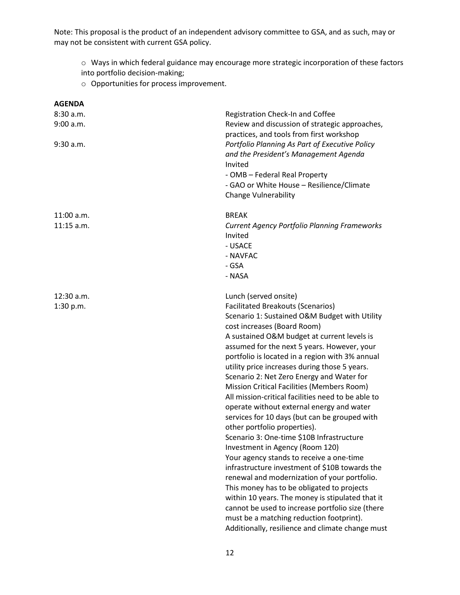o Ways in which federal guidance may encourage more strategic incorporation of these factors

into portfolio decision-making;

o Opportunities for process improvement.

| <b>AGENDA</b>                |                                                                                                                                                                                                                 |
|------------------------------|-----------------------------------------------------------------------------------------------------------------------------------------------------------------------------------------------------------------|
| 8:30 a.m.                    | Registration Check-In and Coffee                                                                                                                                                                                |
| 9:00 a.m.                    | Review and discussion of strategic approaches,<br>practices, and tools from first workshop                                                                                                                      |
| $9:30$ a.m.                  | Portfolio Planning As Part of Executive Policy<br>and the President's Management Agenda<br>Invited<br>- OMB - Federal Real Property<br>- GAO or White House - Resilience/Climate<br><b>Change Vulnerability</b> |
|                              |                                                                                                                                                                                                                 |
| $11:00$ a.m.<br>$11:15$ a.m. | <b>BREAK</b>                                                                                                                                                                                                    |
|                              | <b>Current Agency Portfolio Planning Frameworks</b><br>Invited                                                                                                                                                  |
|                              | - USACE                                                                                                                                                                                                         |
|                              | - NAVFAC                                                                                                                                                                                                        |
|                              | - GSA                                                                                                                                                                                                           |
|                              | - NASA                                                                                                                                                                                                          |
| $12:30$ a.m.                 | Lunch (served onsite)                                                                                                                                                                                           |
| 1:30 p.m.                    | <b>Facilitated Breakouts (Scenarios)</b>                                                                                                                                                                        |
|                              | Scenario 1: Sustained O&M Budget with Utility                                                                                                                                                                   |
|                              | cost increases (Board Room)                                                                                                                                                                                     |
|                              | A sustained O&M budget at current levels is                                                                                                                                                                     |
|                              | assumed for the next 5 years. However, your                                                                                                                                                                     |
|                              | portfolio is located in a region with 3% annual                                                                                                                                                                 |
|                              | utility price increases during those 5 years.<br>Scenario 2: Net Zero Energy and Water for                                                                                                                      |
|                              | Mission Critical Facilities (Members Room)                                                                                                                                                                      |
|                              | All mission-critical facilities need to be able to                                                                                                                                                              |
|                              | operate without external energy and water                                                                                                                                                                       |
|                              | services for 10 days (but can be grouped with                                                                                                                                                                   |
|                              | other portfolio properties).                                                                                                                                                                                    |
|                              | Scenario 3: One-time \$10B Infrastructure                                                                                                                                                                       |
|                              | Investment in Agency (Room 120)                                                                                                                                                                                 |
|                              | Your agency stands to receive a one-time                                                                                                                                                                        |
|                              | infrastructure investment of \$10B towards the                                                                                                                                                                  |
|                              | renewal and modernization of your portfolio.                                                                                                                                                                    |
|                              | This money has to be obligated to projects                                                                                                                                                                      |
|                              | within 10 years. The money is stipulated that it                                                                                                                                                                |
|                              | cannot be used to increase portfolio size (there<br>must be a matching reduction footprint).                                                                                                                    |
|                              | Additionally, resilience and climate change must                                                                                                                                                                |
|                              |                                                                                                                                                                                                                 |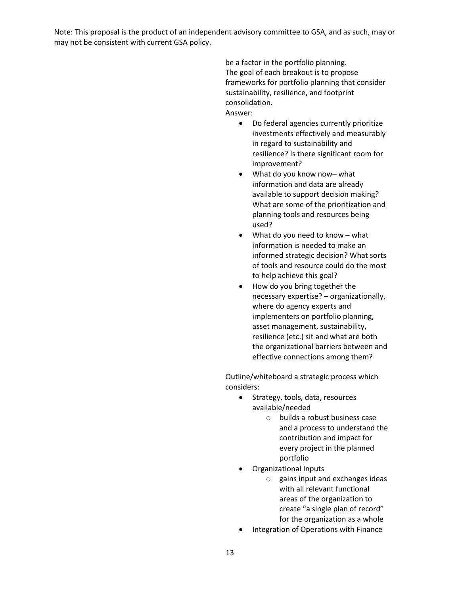> be a factor in the portfolio planning. The goal of each breakout is to propose frameworks for portfolio planning that consider sustainability, resilience, and footprint consolidation. Answer:

- Do federal agencies currently prioritize investments effectively and measurably in regard to sustainability and resilience? Is there significant room for improvement?
- What do you know now– what information and data are already available to support decision making? What are some of the prioritization and planning tools and resources being used?
- information is needed to make an What do you need to know – what informed strategic decision? What sorts of tools and resource could do the most to help achieve this goal?
- where do agency experts and How do you bring together the necessary expertise? – organizationally, implementers on portfolio planning, asset management, sustainability, resilience (etc.) sit and what are both the organizational barriers between and effective connections among them?

Outline/whiteboard a strategic process which considers:

- Strategy, tools, data, resources available/needed
	- $\circ$  builds a robust business case and a process to understand the contribution and impact for every project in the planned portfolio
- Organizational Inputs
	- create "a single plan of record"  $\circ$  gains input and exchanges ideas with all relevant functional areas of the organization to for the organization as a whole
- Integration of Operations with Finance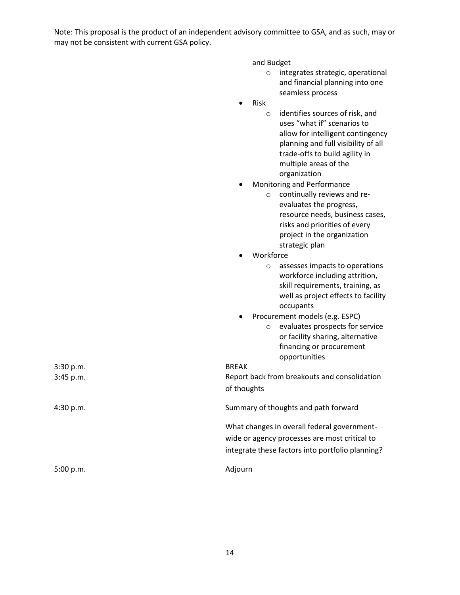and Budget

- o integrates strategic, operational and financial planning into one seamless process
- Risk
	- o identifies sources of risk, and uses "what if" scenarios to allow for intelligent contingency planning and full visibility of all trade-offs to build agility in multiple areas of the organization
- Monitoring and Performance
	- o continually reviews and reevaluates the progress, resource needs, business cases, risks and priorities of every project in the organization strategic plan
- Workforce

|           | assesses impacts to operations<br>$\circ$<br>workforce including attrition,<br>skill requirements, training, as<br>well as project effects to facility<br>occupants |
|-----------|---------------------------------------------------------------------------------------------------------------------------------------------------------------------|
|           | Procurement models (e.g. ESPC)                                                                                                                                      |
|           | evaluates prospects for service<br>$\circ$<br>or facility sharing, alternative<br>financing or procurement<br>opportunities                                         |
| 3:30 p.m. | <b>BREAK</b>                                                                                                                                                        |
| 3:45 p.m. | Report back from breakouts and consolidation<br>of thoughts                                                                                                         |
| 4:30 p.m. | Summary of thoughts and path forward                                                                                                                                |
|           | What changes in overall federal government-<br>wide or agency processes are most critical to<br>integrate these factors into portfolio planning?                    |
| 5:00 p.m. | Adjourn                                                                                                                                                             |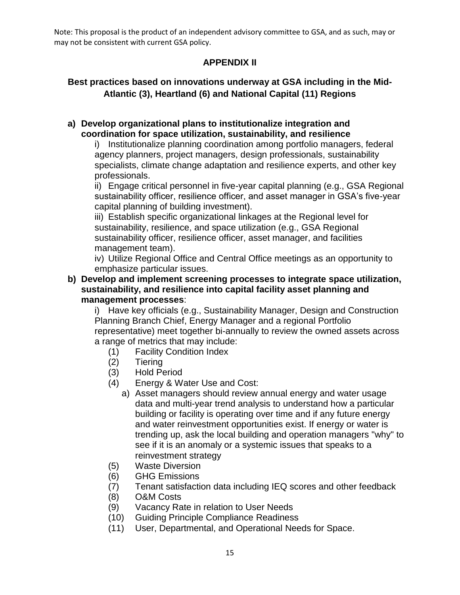## **APPENDIX II**

## **Best practices based on innovations underway at GSA including in the Mid-Atlantic (3), Heartland (6) and National Capital (11) Regions**

#### **a) Develop organizational plans to institutionalize integration and coordination for space utilization, sustainability, and resilience**

i) Institutionalize planning coordination among portfolio managers, federal agency planners, project managers, design professionals, sustainability specialists, climate change adaptation and resilience experts, and other key professionals.

ii) Engage critical personnel in five-year capital planning (e.g., GSA Regional sustainability officer, resilience officer, and asset manager in GSA's five-year capital planning of building investment).

iii) Establish specific organizational linkages at the Regional level for sustainability, resilience, and space utilization (e.g., GSA Regional sustainability officer, resilience officer, asset manager, and facilities management team).

iv) Utilize Regional Office and Central Office meetings as an opportunity to emphasize particular issues.

#### **b) Develop and implement screening processes to integrate space utilization, sustainability, and resilience into capital facility asset planning and management processes**:

i) Have key officials (e.g., Sustainability Manager, Design and Construction Planning Branch Chief, Energy Manager and a regional Portfolio representative) meet together bi-annually to review the owned assets across a range of metrics that may include:

- (1) Facility Condition Index
- $(2)$ **Tiering**
- (3) Hold Period
- $(4)$ Energy & Water Use and Cost:
	- a) Asset managers should review annual energy and water usage data and multi-year trend analysis to understand how a particular building or facility is operating over time and if any future energy and water reinvestment opportunities exist. If energy or water is trending up, ask the local building and operation managers "why" to see if it is an anomaly or a systemic issues that speaks to a reinvestment strategy
- (5) Waste Diversion
- (6) GHG Emissions
- (7) Tenant satisfaction data including IEQ scores and other feedback
- (8) O&M Costs
- (9) Vacancy Rate in relation to User Needs
- (10) Guiding Principle Compliance Readiness
- (11) User, Departmental, and Operational Needs for Space.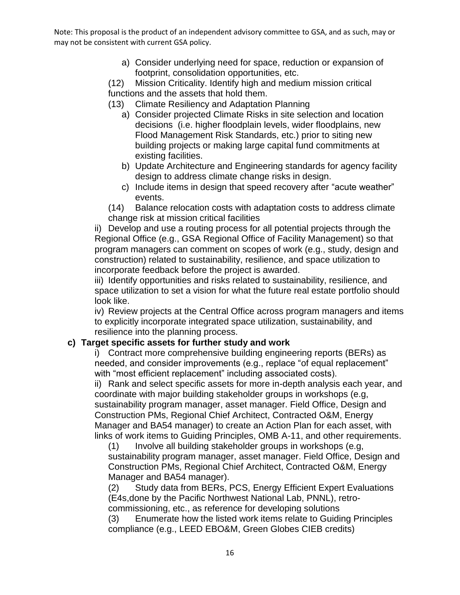> a) Consider underlying need for space, reduction or expansion of footprint, consolidation opportunities, etc.

 footprint, consolidation opportunities, etc. (12) Mission Criticality. Identify high and medium mission critical functions and the assets that hold them.

- (13) Climate Resiliency and Adaptation Planning
	- existing facilities. a) Consider projected Climate Risks in site selection and location decisions (i.e. higher floodplain levels, wider floodplains, new Flood Management Risk Standards, etc.) prior to siting new building projects or making large capital fund commitments at
	- design to address climate change risks in design. b) Update Architecture and Engineering standards for agency facility
	- events. c) Include items in design that speed recovery after "acute weather"

 $(14)$  Balance relocation costs with adaptation costs to address climate change risk at mission critical facilities

 ii) Develop and use a routing process for all potential projects through the incorporate feedback before the project is awarded. Regional Office (e.g., GSA Regional Office of Facility Management) so that program managers can comment on scopes of work (e.g., study, design and construction) related to sustainability, resilience, and space utilization to

look like. iii) Identify opportunities and risks related to sustainability, resilience, and space utilization to set a vision for what the future real estate portfolio should

iv) Review projects at the Central Office across program managers and items to explicitly incorporate integrated space utilization, sustainability, and resilience into the planning process.

#### **c) Target specific assets for further study and work**

 i) Contract more comprehensive building engineering reports (BERs) as needed, and consider improvements (e.g., replace "of equal replacement" with "most efficient replacement" including associated costs).

ii) Rank and select specific assets for more in-depth analysis each year, and coordinate with major building stakeholder groups in workshops (e.g, sustainability program manager, asset manager. Field Office, Design and Construction PMs, Regional Chief Architect, Contracted O&M, Energy Manager and BA54 manager) to create an Action Plan for each asset, with links of work items to Guiding Principles, OMB A-11, and other requirements.

 Manager and BA54 manager). (1) Involve all building stakeholder groups in workshops (e.g, sustainability program manager, asset manager. Field Office, Design and Construction PMs, Regional Chief Architect, Contracted O&M, Energy

 (2) Study data from BERs, PCS, Energy Efficient Expert Evaluations (E4s,done by the Pacific Northwest National Lab, PNNL), retrocommissioning, etc., as reference for developing solutions

 compliance (e.g., LEED EBO&M, Green Globes CIEB credits) (3) Enumerate how the listed work items relate to Guiding Principles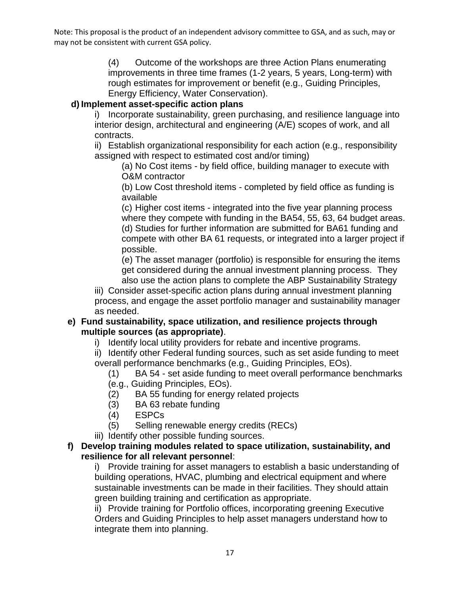> (4) Outcome of the workshops are three Action Plans enumerating improvements in three time frames (1-2 years, 5 years, Long-term) with rough estimates for improvement or benefit (e.g., Guiding Principles, Energy Efficiency, Water Conservation).

## **d) Implement asset-specific action plans**

 interior design, architectural and engineering (A/E) scopes of work, and all i) Incorporate sustainability, green purchasing, and resilience language into contracts.

 ii) Establish organizational responsibility for each action (e.g., responsibility assigned with respect to estimated cost and/or timing)

(a) No Cost items - by field office, building manager to execute with O&M contractor

(b) Low Cost threshold items - completed by field office as funding is available

 (c) Higher cost items - integrated into the five year planning process where they compete with funding in the BA54, 55, 63, 64 budget areas. (d) Studies for further information are submitted for BA61 funding and possible. compete with other BA 61 requests, or integrated into a larger project if

 get considered during the annual investment planning process. They (e) The asset manager (portfolio) is responsible for ensuring the items also use the action plans to complete the ABP Sustainability Strategy

iii) Consider asset-specific action plans during annual investment planning process, and engage the asset portfolio manager and sustainability manager as needed.

#### **e) Fund sustainability, space utilization, and resilience projects through multiple sources (as appropriate)**.

i) Identify local utility providers for rebate and incentive programs.

ii) Identify other Federal funding sources, such as set aside funding to meet overall performance benchmarks (e.g., Guiding Principles, EOs).

- $(1)$ BA 54 - set aside funding to meet overall performance benchmarks
- (e.g., Guiding Principles, EOs).
- $(2)$ BA 55 funding for energy related projects
- (3) BA 63 rebate funding
- (4) ESPCs
- (5) Selling renewable energy credits (RECs)
- iii) Identify other possible funding sources.

#### **f) Develop training modules related to space utilization, sustainability, and resilience for all relevant personnel**:

 i) Provide training for asset managers to establish a basic understanding of sustainable investments can be made in their facilities. They should attain building operations, HVAC, plumbing and electrical equipment and where green building training and certification as appropriate.

ii) Provide training for Portfolio offices, incorporating greening Executive Orders and Guiding Principles to help asset managers understand how to integrate them into planning.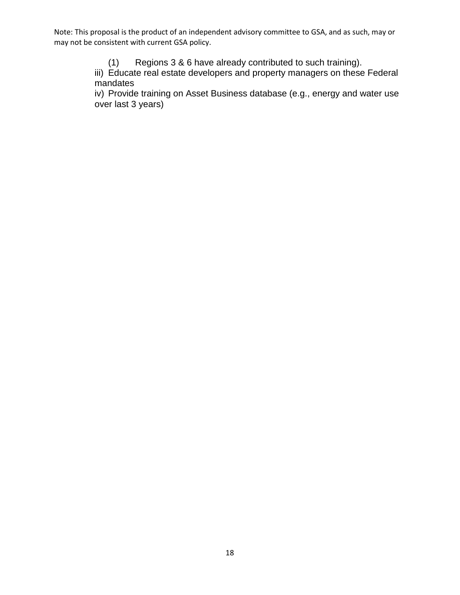(1) Regions 3 & 6 have already contributed to such training).

iii) Educate real estate developers and property managers on these Federal mandates

iv) Provide training on Asset Business database (e.g., energy and water use over last 3 years)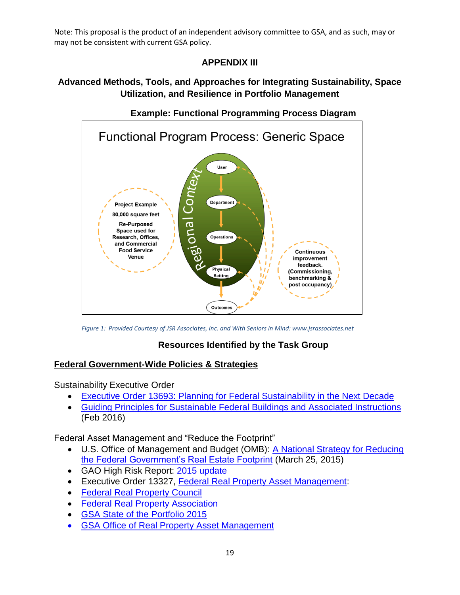# **APPENDIX III**

# **Advanced Methods, Tools, and Approaches for Integrating Sustainability, Space Utilization, and Resilience in Portfolio Management**



**Example: Functional Programming Process Diagram** 

*Figure 1: Provided Courtesy of JSR Associates, Inc. and With Seniors in Mind: www.jsrassociates.net* 

## **Resources Identified by the Task Group**

## **Federal Government-Wide Policies & Strategies**

Sustainability Executive Order

- **Executive Order 13693: Planning for Federal Sustainability in the Next Decade**
- [Guiding Principles for Sustainable Federal Buildings and Associated Instructions](https://www.whitehouse.gov/sites/default/files/docs/guiding_principles_for_sustainable_federal_buildings_and_associated_instructions_february_2016.pdf)  (Feb 2016)

Federal Asset Management and "Reduce the Footprint"

- U.S. Office of Management and Budget (OMB): A National Strategy for Reducing [the Federal Government's Real Estate Footprint](https://www.whitehouse.gov/blog/2015/03/25/national-strategy-reducing-federal-government-s-real-estate-footprint) (March 25, 2015)
- GAO High Risk Report: [2015 update](http://www.gao.gov/highrisk/managing_federal_property/why_did_study#t=1)
- Executive Order 13327, [Federal Real Property Asset Management:](http://www.nps.gov/features/dscw/88_PRPPHandbook/documents/Apdx-I_EO13327.pdf)
- [Federal Real Property Council](http://www.gsa.gov/portal/content/104918)
- [Federal Real Property Association](http://www.frpa.us/about.html)
- [GSA State of the Portfolio 2015](http://www.gsa.gov/portal/category/22180)
- [GSA Office of Real Property Asset Management](http://www.gsa.gov/portal/category/22180)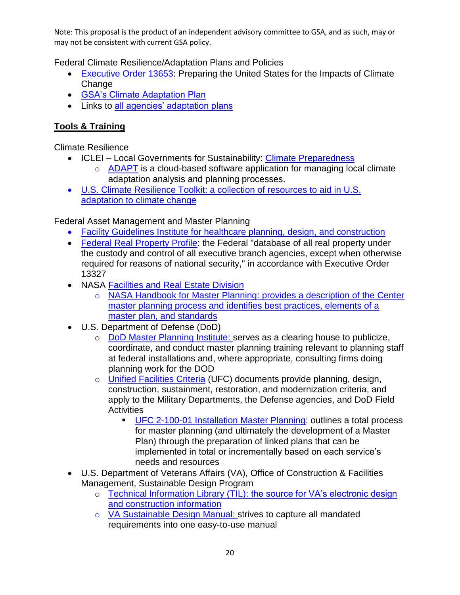Federal Climate Resilience/Adaptation Plans and Policies

- [Executive Order 13653:](http://www.whitehouse.gov/the-press-office/2013/11/01/executive-order-preparing-united-states-impacts-climate-change) Preparing the United States for the Impacts of Climate **Change**
- **[GSA's Climate Adaptation Plan](http://www.gsa.gov/portal/mediaId/199751/fileName/GSA_FY_2014_Climate_Change_Risk_Management_Plan.action)**
- Links to [all agencies' adaptation plans](http://www.globalchange.gov/browse/federal-adaptation-resources#Plans)

# **Tools & Training**

Climate Resilience

- ICLEI Local Governments for Sustainability: Climate Preparedness
	- $\circ$  [ADAPT](http://icleiusa.org/tools/adapt/) is a cloud-based software application for managing local climate adaptation analysis and planning processes.
- [U.S. Climate Resilience Toolkit:](http://toolkit.climate.gov/) a collection of resources to aid in U.S. adaptation to climate change

Federal Asset Management and Master Planning

- [Facility Guidelines Institute](http://www.fgiguidelines.org/) for healthcare planning, design, and construction
- [Federal Real Property Profile:](http://www.gsa.gov/portal/category/21275) the Federal "database of all real property under the custody and control of all executive branch agencies, except when otherwise required for reasons of national security," in accordance with Executive Order 13327
- NASA **Facilities and Real Estate Division** 
	- o [NASA Handbook for Master Planning:](http://fred.hq.nasa.gov/jxstaff_masterplanning.html) provides a description of the Center master planning process and identifies best practices, elements of a master plan, and standards
- U.S. Department of Defense (DoD)
	- at federal installations and, where appropriate, consulting firms doing planning work for the DOD o [DoD Master Planning Institute:](http://www.dodmpi.org/) serves as a clearing house to publicize, coordinate, and conduct master planning training relevant to planning staff
	- o [Unified Facilities Criteria](http://wbdg.org/ccb/browse_cat.php?o=29&c=4) (UFC) documents provide planning, design, construction, sustainment, restoration, and modernization criteria, and apply to the Military Departments, the Defense agencies, and DoD Field **Activities** 
		- Plan) through the preparation of linked plans that can be [UFC 2-100-01 Installation Master Planning:](http://wbdg.org/ccb/DOD/UFC/ufc_2_100_01.pdf) outlines a total process for master planning (and ultimately the development of a Master implemented in total or incrementally based on each service's needs and resources
- U.S. Department of Veterans Affairs (VA), Office of Construction & Facilities Management, Sustainable Design Program
	- $\circ$  [Technical Information Library \(TIL\):](http://www.cfm.va.gov/TIL/sustain.asp) the source for VA's electronic design and construction information
	- o [VA Sustainable Design Manual:](http://www.cfm.va.gov/til/sustain/dmSustain.pdf) strives to capture all mandated requirements into one easy-to-use manual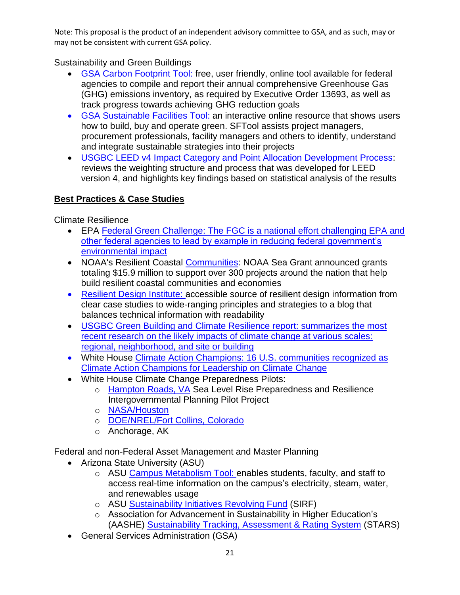## Sustainability and Green Buildings

- [GSA Carbon Footprint Tool:](http://www.gsa.gov/portal/content/162265) free, user friendly, online tool available for federal agencies to compile and report their annual comprehensive Greenhouse Gas (GHG) emissions inventory, as required by Executive Order 13693, as well as track progress towards achieving GHG reduction goals
- [GSA Sustainable Facilities Tool:](https://sftool.gov/) an interactive online resource that shows users how to build, buy and operate green. SFTool assists project managers, procurement professionals, facility managers and others to identify, understand and integrate sustainable strategies into their projects
- reviews the weighting structure and process that was developed for LEED version 4, and highlights key findings based on statistical analysis of the results [USGBC LEED v4 Impact Category and Point Allocation Development Process:](http://www.usgbc.org/sites/default/files/LEED%20v4%20Impact%20Category%20and%20Point%20Allocation%20Process_Overview_0.pdf)

## **Best Practices & Case Studies**

Climate Resilience

- EPA [Federal Green Challenge:](https://www.epa.gov/fgc) The FGC is a national effort challenging EPA and other federal agencies to lead by example in reducing federal government's environmental impact
- NOAA's Resilient Coastal [Communities:](http://t.signaletre.com/e1t/c/5/f18dQhb0S7lC8dDMPbW2n0x6l2B9nMJN7t5XZsQBcv6W3LyKqF63BjB4VRzDdF56dzsqdmxJHH02?t=http%3A%2F%2Fwww.noaanews.noaa.gov%2Fstories2014%2F20141008_noaa_seagrant_resilience_awards.html&si=5888664675024896&pi=f87a2c6f-116d-46eb-cb97-b2eadcd47e2b) NOAA Sea Grant announced grants totaling \$15.9 million to support over 300 projects around the nation that help build resilient coastal communities and economies
- [Resilient Design Institute:](http://www.resilientdesign.org/) accessible source of resilient design information from clear [case studies](http://www.resilientdesign.org/category/case-studies/) to wide-ranging [principles](http://www.resilientdesign.org/the-resilient-design-principles/) and [strategies](http://www.resilientdesign.org/resilient-design-strategies/) to a [blog](http://www.resilientdesign.org/category/news-blogs/) that balances technical information with readability
- **[USGBC Green Building and Climate Resilience report:](http://www.usgbc.org/Docs/Archive/General/Docs18496.pdf) summarizes the most** recent research on the likely impacts of climate change at various scales: regional, neighborhood, and site or building
- White House [Climate Action Champions:](https://www.whitehouse.gov/the-press-office/2014/12/03/fact-sheet-16-us-communities-recognized-climate-action-champions-leaders) 16 U.S. communities recognized as Climate Action Champions for Leadership on Climate Change
- White House Climate Change Preparedness Pilots:
	- o [Hampton Roads, VA](http://www.centerforsealevelrise.org/about-the-center-for-sea-level-rise/) Sea Level Rise Preparedness and Resilience Intergovernmental Planning Pilot Project
	- o NASA/Houston
	- o [DOE/NREL/Fort Collins, Colorado](http://www.globalchange.gov/sites/globalchange/files/CCPR_CO_brochure-final.pdf)
	- $\circ$  Anchorage, AK

Federal and non-Federal Asset Management and Master Planning

- Arizona State University (ASU)
	- o ASU [Campus Metabolism Tool:](https://cm.asu.edu/) enables students, faculty, and staff to access real-time information on the campus's electricity, steam, water, and renewables usage
	- o ASU [Sustainability Initiatives Revolving Fund](https://cfo.asu.edu/sirf?destination=node%2F2626) (SIRF)
	- (AASHE) [Sustainability Tracking, Assessment & Rating System](https://stars.aashe.org/) (STARS) o Association for Advancement in Sustainability in Higher Education's
- General Services Administration (GSA)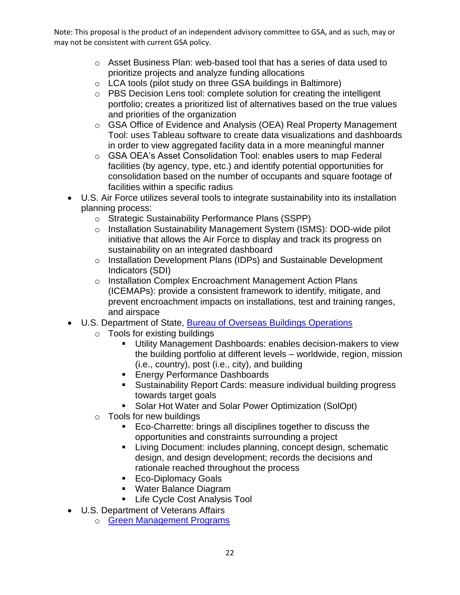- $\circ$  Asset Business Plan: web-based tool that has a series of data used to prioritize projects and analyze funding allocations
- $\circ$  LCA tools (pilot study on three GSA buildings in Baltimore)
- and priorities of the organization  $\circ$  PBS Decision Lens tool: complete solution for creating the intelligent portfolio; creates a prioritized list of alternatives based on the true values
- $\circ$  GSA Office of Evidence and Analysis (OEA) Real Property Management Tool: uses Tableau software to create data visualizations and dashboards in order to view aggregated facility data in a more meaningful manner
- consolidation based on the number of occupants and square footage of o GSA OEA's Asset Consolidation Tool: enables users to map Federal facilities (by agency, type, etc.) and identify potential opportunities for facilities within a specific radius
- U.S. Air Force utilizes several tools to integrate sustainability into its installation planning process:
	- o Strategic Sustainability Performance Plans (SSPP)
	- o Installation Sustainability Management System (ISMS): DOD-wide pilot initiative that allows the Air Force to display and track its progress on sustainability on an integrated dashboard
	- o Installation Development Plans (IDPs) and Sustainable Development Indicators (SDI)
	- and airspace o Installation Complex Encroachment Management Action Plans (ICEMAPs): provide a consistent framework to identify, mitigate, and prevent encroachment impacts on installations, test and training ranges,
- U.S. Department of State, [Bureau of Overseas Buildings Operations](http://overseasbuildings.state.gov/green_initiatives/) 
	- $\circ$  Tools for existing buildings
		- Utility Management Dashboards: enables decision-makers to view the building portfolio at different levels – worldwide, region, mission (i.e., country), post (i.e., city), and building
		- **Energy Performance Dashboards**
		- Sustainability Report Cards: measure individual building progress towards target goals
		- **Solar Hot Water and Solar Power Optimization (SolOpt)**
	- $\circ$  Tools for new buildings
		- Eco-Charrette: brings all disciplines together to discuss the opportunities and constraints surrounding a project
		- **EXECT** Living Document: includes planning, concept design, schematic design, and design development; records the decisions and rationale reached throughout the process
		- **Eco-Diplomacy Goals**
		- Water Balance Diagram
		- **Life Cycle Cost Analysis Tool**
- U.S. Department of Veterans Affairs
	- o [Green Management Programs](http://www.green.va.gov/)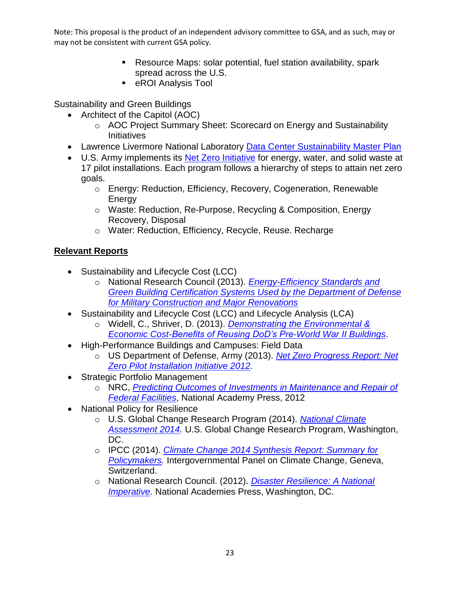- Resource Maps: solar potential, fuel station availability, spark spread across the U.S.
- **EXALGE ANALYSIS Tool**

Sustainability and Green Buildings

- Architect of the Capitol (AOC)
	- $\circ$  AOC Project Summary Sheet: Scorecard on Energy and Sustainability Initiatives
- Lawrence Livermore National Laboratory Data Center Sustainability Master Plan
- 17 pilot installations. Each program follows a hierarchy of steps to attain net zero • U.S. Army implements its [Net Zero Initiative](http://www.asaie.army.mil/Public/ES/netzero/) for energy, water, and solid waste at goals.
	- o Energy: Reduction, Efficiency, Recovery, Cogeneration, Renewable **Energy**
	- o Waste: Reduction, Re-Purpose, Recycling & Composition, Energy Recovery, Disposal
	- o Water: Reduction, Efficiency, Recycle, Reuse. Recharge

# **Relevant Reports**

- Sustainability and Lifecycle Cost (LCC)
	- o National Research Council (2013). *[Energy-Efficiency Standards and](http://www.nap.edu/catalog/18282/energy-efficiency-standards-and-green-building-certification-systems-used-by-the-department-of-defense-for-military-construction-and-major-renovations)  [Green Building Certification Systems Used by the Department of Defense](http://www.nap.edu/catalog/18282/energy-efficiency-standards-and-green-building-certification-systems-used-by-the-department-of-defense-for-military-construction-and-major-renovations)  [for Military Construction and Major Renovations](http://www.nap.edu/catalog/18282/energy-efficiency-standards-and-green-building-certification-systems-used-by-the-department-of-defense-for-military-construction-and-major-renovations)*
- Sustainability and Lifecycle Cost (LCC) and Lifecycle Analysis (LCA)
	- o Widell, C., Shriver, D. (2013). *[Demonstrating the Environmental &](http://www.achp.gov/docs/DoD%20Cost%20Benefit%20Report.pdf)  [Economic Cost-Benefits of Reusing DoD's Pre-World War II Buildings](http://www.achp.gov/docs/DoD%20Cost%20Benefit%20Report.pdf)*.
- High-Performance Buildings and Campuses: Field Data
	- *[Zero Pilot Installation Initiative 2012.](http://usarmy.vo.llnwd.net/e2/c/downloads/296777.pdf)* o US Department of Defense, Army (2013). *[Net Zero Progress Report: Net](http://usarmy.vo.llnwd.net/e2/c/downloads/296777.pdf)*
- Strategic Portfolio Management
	- *[Federal Facilities](http://www.nap.edu/catalog/13280/predicting-outcomes-from-investments-in-maintenance-and-repair-for-federal-facilities)*, National Academy Press, 2012 o NRC, *[Predicting Outcomes of Investments in Maintenance and Repair of](http://www.nap.edu/catalog/13280/predicting-outcomes-from-investments-in-maintenance-and-repair-for-federal-facilities)*
- National Policy for Resilience
	- o U.S. Global Change Research Program (2014). *[National Climate](http://nca2014.globalchange.gov/report)  [Assessment 2014.](http://nca2014.globalchange.gov/report)* U.S. Global Change Research Program, Washington, DC.
	- o IPCC (2014). *[Climate Change 2014 Synthesis Report: Summary for](http://www.ipcc.ch/pdf/assessment-report/ar5/syr/SYR_AR5_SPMcorr2.pdf)*  **[Policymakers.](http://www.ipcc.ch/pdf/assessment-report/ar5/syr/SYR_AR5_SPMcorr2.pdf)** Intergovernmental Panel on Climate Change, Geneva, Switzerland.
	- o National Research Council. (2012). *[Disaster Resilience: A National](http://www.nap.edu/catalog.php?record_id=13457)*  **Imperative**. National Academies Press, Washington, DC.